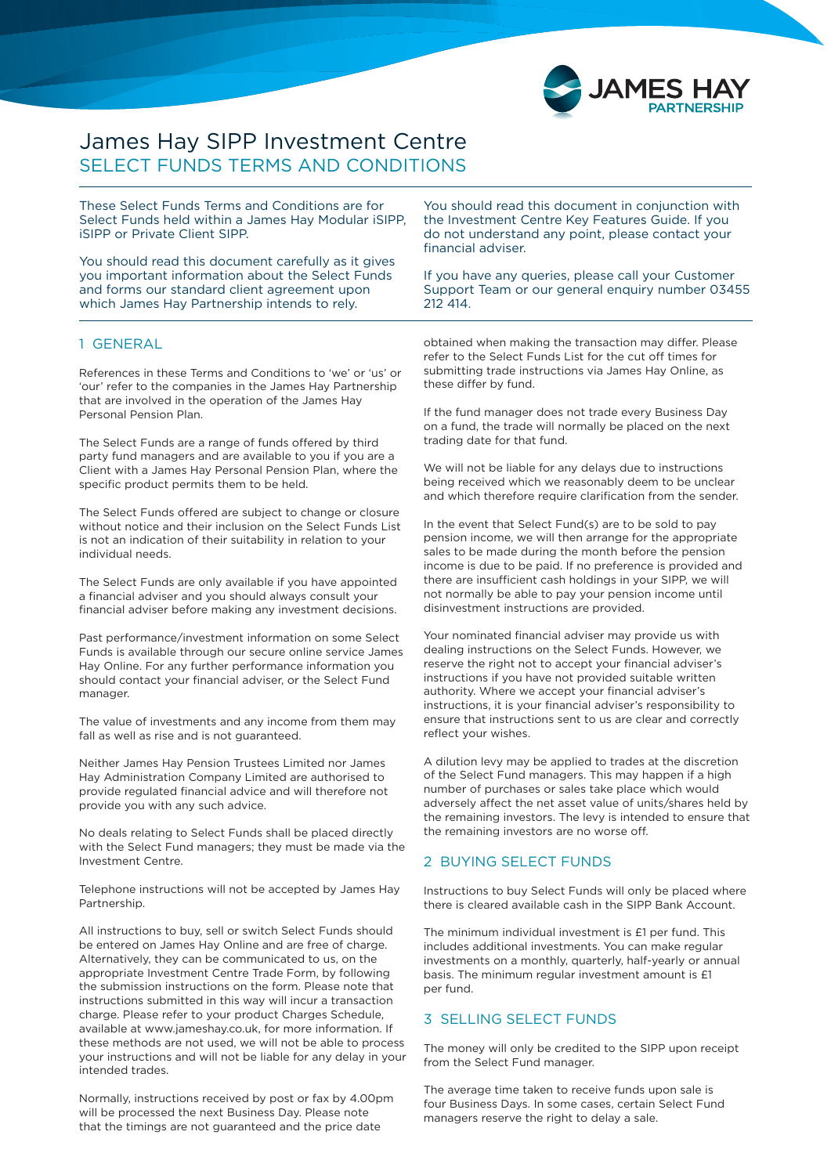

# SELECT FUNDS TERMS AND CONDITIONS James Hay SIPP Investment Centre

These Select Funds Terms and Conditions are for Select Funds held within a James Hay Modular iSIPP, iSIPP or Private Client SIPP.

You should read this document carefully as it gives you important information about the Select Funds and forms our standard client agreement upon which James Hay Partnership intends to rely.

#### 1 GENERAL

References in these Terms and Conditions to 'we' or 'us' or 'our' refer to the companies in the James Hay Partnership that are involved in the operation of the James Hay Personal Pension Plan.

The Select Funds are a range of funds offered by third party fund managers and are available to you if you are a Client with a James Hay Personal Pension Plan, where the specific product permits them to be held.

The Select Funds offered are subject to change or closure without notice and their inclusion on the Select Funds List is not an indication of their suitability in relation to your individual needs.

The Select Funds are only available if you have appointed a financial adviser and you should always consult your financial adviser before making any investment decisions.

Past performance/investment information on some Select Funds is available through our secure online service James Hay Online. For any further performance information you should contact your financial adviser, or the Select Fund manager.

The value of investments and any income from them may fall as well as rise and is not guaranteed.

Neither James Hay Pension Trustees Limited nor James Hay Administration Company Limited are authorised to provide regulated financial advice and will therefore not provide you with any such advice.

No deals relating to Select Funds shall be placed directly with the Select Fund managers; they must be made via the Investment Centre.

Telephone instructions will not be accepted by James Hay Partnership.

All instructions to buy, sell or switch Select Funds should be entered on James Hay Online and are free of charge. Alternatively, they can be communicated to us, on the appropriate Investment Centre Trade Form, by following the submission instructions on the form. Please note that instructions submitted in this way will incur a transaction charge. Please refer to your product Charges Schedule, available at www.jameshay.co.uk, for more information. If these methods are not used, we will not be able to process your instructions and will not be liable for any delay in your intended trades.

Normally, instructions received by post or fax by 4.00pm will be processed the next Business Day. Please note that the timings are not guaranteed and the price date

You should read this document in conjunction with the Investment Centre Key Features Guide. If you do not understand any point, please contact your financial adviser.

If you have any queries, please call your Customer Support Team or our general enquiry number 03455 212 414.

obtained when making the transaction may differ. Please refer to the Select Funds List for the cut off times for submitting trade instructions via James Hay Online, as these differ by fund.

If the fund manager does not trade every Business Day on a fund, the trade will normally be placed on the next trading date for that fund.

We will not be liable for any delays due to instructions being received which we reasonably deem to be unclear and which therefore require clarification from the sender.

In the event that Select Fund(s) are to be sold to pay pension income, we will then arrange for the appropriate sales to be made during the month before the pension income is due to be paid. If no preference is provided and there are insufficient cash holdings in your SIPP, we will not normally be able to pay your pension income until disinvestment instructions are provided.

Your nominated financial adviser may provide us with dealing instructions on the Select Funds. However, we reserve the right not to accept your financial adviser's instructions if you have not provided suitable written authority. Where we accept your financial adviser's instructions, it is your financial adviser's responsibility to ensure that instructions sent to us are clear and correctly reflect your wishes.

A dilution levy may be applied to trades at the discretion of the Select Fund managers. This may happen if a high number of purchases or sales take place which would adversely affect the net asset value of units/shares held by the remaining investors. The levy is intended to ensure that the remaining investors are no worse off.

#### 2 BUYING SELECT FUNDS

Instructions to buy Select Funds will only be placed where there is cleared available cash in the SIPP Bank Account.

The minimum individual investment is £1 per fund. This includes additional investments. You can make regular investments on a monthly, quarterly, half-yearly or annual basis. The minimum regular investment amount is £1 per fund.

## 3 SELLING SELECT FUNDS

The money will only be credited to the SIPP upon receipt from the Select Fund manager.

The average time taken to receive funds upon sale is four Business Days. In some cases, certain Select Fund managers reserve the right to delay a sale.